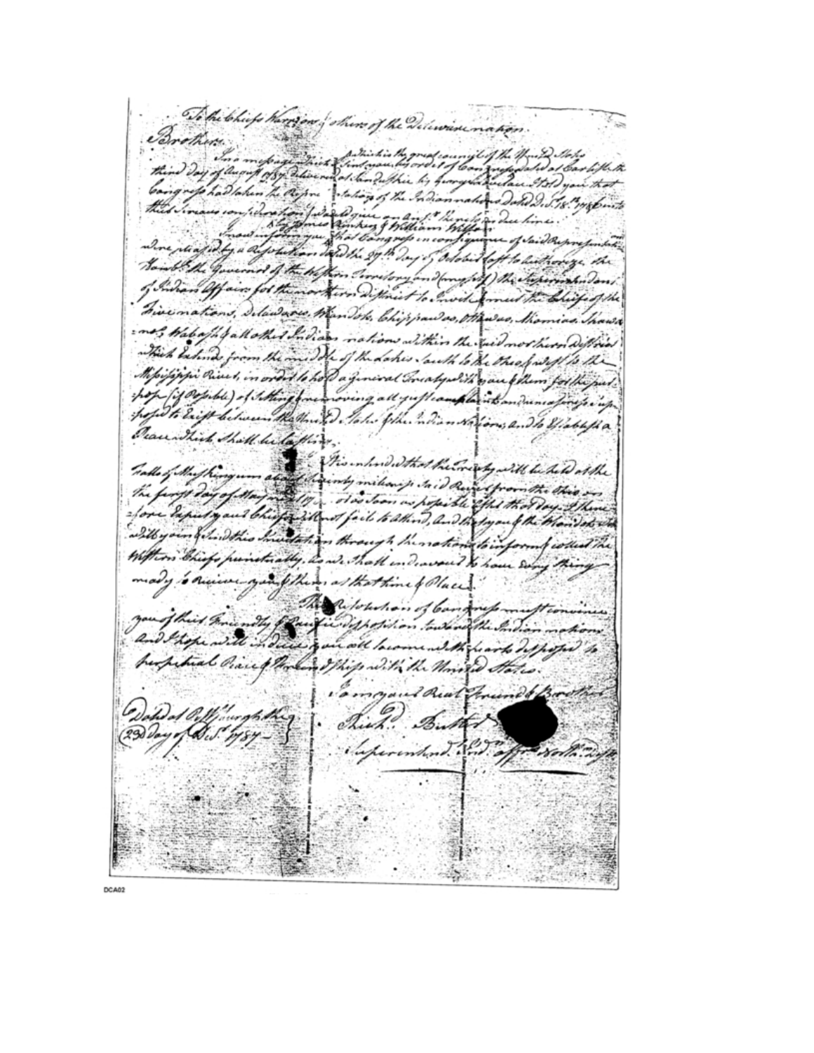To the tohiefs there are of shows of the Delewise nation.  $\mathcal{F}_{\mathcal{F}_{\mathcal{F}}^{(n)}}$ Brothers .. thind Day of August bij hungrind with wait the grep had taken the Report Interior of the Indiannation a Dand D. Tis mobile where readed by a di loft to built orige the Lay of Odobit wend of the William ? ony and forme fold ) the chaperin had don of hinan Offair for the to Invit formed the briefs of the Tive nations, Islaware, Wan Jok, Chippawas, Mawas, Shomina The ins, Wabaph ball other Indians nations within the suid not her Diffices Thick believe from the middle of the dates lawth to the theory soft to the Milijappi Pieces, in order to host a finised Trialyabili que follen for the pe pop fif orgible) of stilling foremoving all grafleamplant on duma for get in popo to Enigh bitween the third . Take phe hadian was form , 2. The Wable file Peace Shirt Shall be lafting. Tale of the plangum and the characters the mery will be to Dat the hainly milion je Jaid Run from the this the farge day of May 2019 . old Joan as popible offer that day the fore liputy and bhisp with of fail to athing, and the togen of the thom dots in with your film this meetation through the notions to inform field Withon Chiefs punctually, is which individed to have six mady oneiver you thing at that time of Places. The Ritchdion of bandrup muft con you of this ministy for finding hostilion toward the Santian and those will in infancole lacome with frank disposa to huspitual Piace of the land I this with the Monted States. Command Real Friend & Brown Officeration Tich Butter information . Ind. offer North

**DCA02**